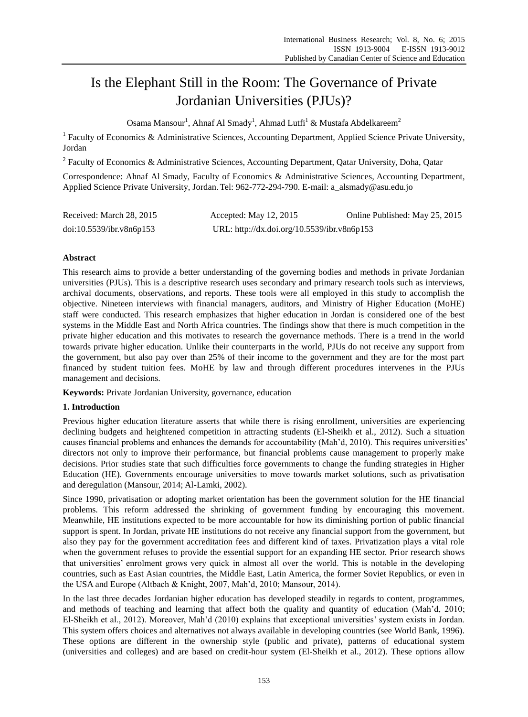# Is the Elephant Still in the Room: The Governance of Private Jordanian Universities (PJUs)?

Osama Mansour<sup>1</sup>, Ahnaf Al Smady<sup>1</sup>, Ahmad Lutfi<sup>1</sup> & Mustafa Abdelkareem<sup>2</sup>

<sup>1</sup> Faculty of Economics & Administrative Sciences, Accounting Department, Applied Science Private University, Jordan

<sup>2</sup> Faculty of Economics & Administrative Sciences, Accounting Department, Qatar University, Doha, Qatar

Correspondence: Ahnaf Al Smady, Faculty of Economics & Administrative Sciences, Accounting Department, Applied Science Private University, Jordan. Tel: 962-772-294-790. E-mail: [a\\_alsmady@asu.edu.jo](mailto:a_a_alsmady@asu.edu.jo)

| Received: March 28, 2015 | Accepted: May $12, 2015$                    | Online Published: May 25, 2015 |
|--------------------------|---------------------------------------------|--------------------------------|
| doi:10.5539/ibr.v8n6p153 | URL: http://dx.doi.org/10.5539/ibr.v8n6p153 |                                |

## **Abstract**

This research aims to provide a better understanding of the governing bodies and methods in private Jordanian universities (PJUs). This is a descriptive research uses secondary and primary research tools such as interviews, archival documents, observations, and reports. These tools were all employed in this study to accomplish the objective. Nineteen interviews with financial managers, auditors, and Ministry of Higher Education (MoHE) staff were conducted. This research emphasizes that higher education in Jordan is considered one of the best systems in the Middle East and North Africa countries. The findings show that there is much competition in the private higher education and this motivates to research the governance methods. There is a trend in the world towards private higher education. Unlike their counterparts in the world, PJUs do not receive any support from the government, but also pay over than 25% of their income to the government and they are for the most part financed by student tuition fees. MoHE by law and through different procedures intervenes in the PJUs management and decisions.

**Keywords:** Private Jordanian University, governance, education

## **1. Introduction**

Previous higher education literature asserts that while there is rising enrollment, universities are experiencing declining budgets and heightened competition in attracting students (El-Sheikh et al., 2012). Such a situation causes financial problems and enhances the demands for accountability (Mah'd, 2010). This requires universities' directors not only to improve their performance, but financial problems cause management to properly make decisions. Prior studies state that such difficulties force governments to change the funding strategies in Higher Education (HE). Governments encourage universities to move towards market solutions, such as privatisation and deregulation (Mansour, 2014; Al-Lamki, 2002).

Since 1990, privatisation or adopting market orientation has been the government solution for the HE financial problems. This reform addressed the shrinking of government funding by encouraging this movement. Meanwhile, HE institutions expected to be more accountable for how its diminishing portion of public financial support is spent. In Jordan, private HE institutions do not receive any financial support from the government, but also they pay for the government accreditation fees and different kind of taxes. Privatization plays a vital role when the government refuses to provide the essential support for an expanding HE sector. Prior research shows that universities' enrolment grows very quick in almost all over the world. This is notable in the developing countries, such as East Asian countries, the Middle East, Latin America, the former Soviet Republics, or even in the USA and Europe (Altbach & Knight, 2007, Mah'd, 2010; Mansour, 2014).

In the last three decades Jordanian higher education has developed steadily in regards to content, programmes, and methods of teaching and learning that affect both the quality and quantity of education (Mah'd, 2010; El-Sheikh et al., 2012). Moreover, Mah'd (2010) explains that exceptional universities' system exists in Jordan. This system offers choices and alternatives not always available in developing countries (see World Bank, 1996). These options are different in the ownership style (public and private), patterns of educational system (universities and colleges) and are based on credit-hour system (El-Sheikh et al., 2012). These options allow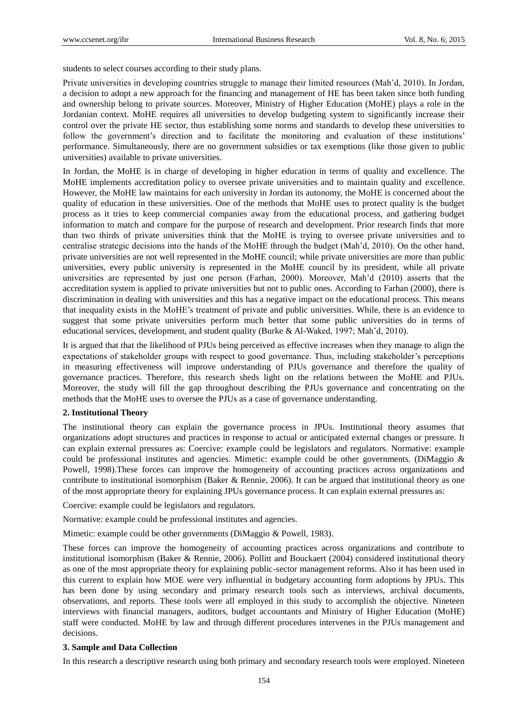students to select courses according to their study plans.

Private universities in developing countries struggle to manage their limited resources (Mah'd, 2010). In Jordan, a decision to adopt a new approach for the financing and management of HE has been taken since both funding and ownership belong to private sources. Moreover, Ministry of Higher Education (MoHE) plays a role in the Jordanian context. MoHE requires all universities to develop budgeting system to significantly increase their control over the private HE sector, thus establishing some norms and standards to develop these universities to follow the government's direction and to facilitate the monitoring and evaluation of these institutions' performance. Simultaneously, there are no government subsidies or tax exemptions (like those given to public universities) available to private universities.

In Jordan, the MoHE is in charge of developing in higher education in terms of quality and excellence. The MoHE implements accreditation policy to oversee private universities and to maintain quality and excellence. However, the MoHE law maintains for each university in Jordan its autonomy, the MoHE is concerned about the quality of education in these universities. One of the methods that MoHE uses to protect quality is the budget process as it tries to keep commercial companies away from the educational process, and gathering budget information to match and compare for the purpose of research and development. Prior research finds that more than two thirds of private universities think that the MoHE is trying to oversee private universities and to centralise strategic decisions into the hands of the MoHE through the budget (Mah'd, 2010). On the other hand, private universities are not well represented in the MoHE council; while private universities are more than public universities, every public university is represented in the MoHE council by its president, while all private universities are represented by just one person (Farhan, 2000). Moreover, Mah'd (2010) asserts that the accreditation system is applied to private universities but not to public ones. According to Farhan (2000), there is discrimination in dealing with universities and this has a negative impact on the educational process. This means that inequality exists in the MoHE's treatment of private and public universities. While, there is an evidence to suggest that some private universities perform much better that some public universities do in terms of educational services, development, and student quality (Burke & Al-Waked, 1997; Mah'd, 2010).

It is argued that that the likelihood of PJUs being perceived as effective increases when they manage to align the expectations of stakeholder groups with respect to good governance. Thus, including stakeholder's perceptions in measuring effectiveness will improve understanding of PJUs governance and therefore the quality of governance practices. Therefore, this research sheds light on the relations between the MoHE and PJUs. Moreover, the study will fill the gap throughout describing the PJUs governance and concentrating on the methods that the MoHE uses to oversee the PJUs as a case of governance understanding.

#### **2. Institutional Theory**

The institutional theory can explain the governance process in JPUs. Institutional theory assumes that organizations adopt structures and practices in response to actual or anticipated external changes or pressure. It can explain external pressures as: Coercive: example could be legislators and regulators. Normative: example could be professional institutes and agencies. Mimetic: example could be other governments. (DiMaggio & Powell, 1998).These forces can improve the homogeneity of accounting practices across organizations and contribute to institutional isomorphism (Baker & Rennie, 2006). It can be argued that institutional theory as one of the most appropriate theory for explaining JPUs governance process. It can explain external pressures as:

Coercive: example could be legislators and regulators.

Normative: example could be professional institutes and agencies.

Mimetic: example could be other governments (DiMaggio & Powell, 1983).

These forces can improve the homogeneity of accounting practices across organizations and contribute to institutional isomorphism (Baker & Rennie, 2006). Pollitt and Bouckaert (2004) considered institutional theory as one of the most appropriate theory for explaining public-sector management reforms. Also it has been used in this current to explain how MOE were very influential in budgetary accounting form adoptions by JPUs. This has been done by using secondary and primary research tools such as interviews, archival documents, observations, and reports. These tools were all employed in this study to accomplish the objective. Nineteen interviews with financial managers, auditors, budget accountants and Ministry of Higher Education (MoHE) staff were conducted. MoHE by law and through different procedures intervenes in the PJUs management and decisions.

#### **3. Sample and Data Collection**

In this research a descriptive research using both primary and secondary research tools were employed. Nineteen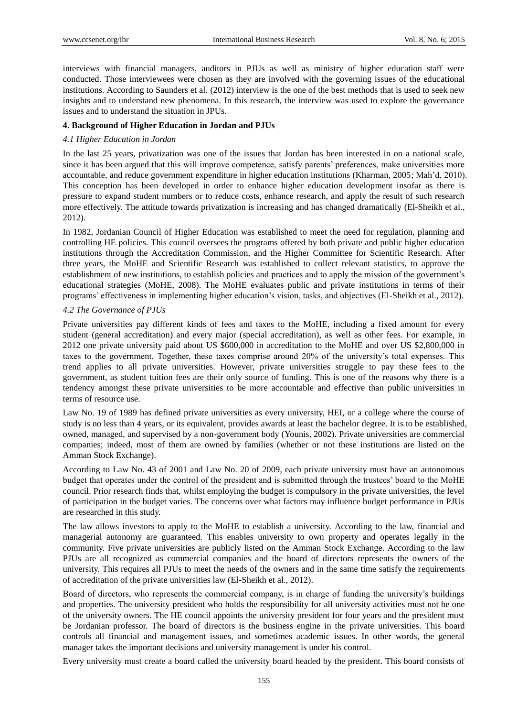interviews with financial managers, auditors in PJUs as well as ministry of higher education staff were conducted. Those interviewees were chosen as they are involved with the governing issues of the educational institutions. According to Saunders et al. (2012) interview is the one of the best methods that is used to seek new insights and to understand new phenomena. In this research, the interview was used to explore the governance issues and to understand the situation in JPUs.

# **4. Background of Higher Education in Jordan and PJUs**

# *4.1 Higher Education in Jordan*

In the last 25 years, privatization was one of the issues that Jordan has been interested in on a national scale, since it has been argued that this will improve competence, satisfy parents' preferences, make universities more accountable, and reduce government expenditure in higher education institutions (Kharman, 2005; Mah'd, 2010). This conception has been developed in order to enhance higher education development insofar as there is pressure to expand student numbers or to reduce costs, enhance research, and apply the result of such research more effectively. The attitude towards privatization is increasing and has changed dramatically (El-Sheikh et al., 2012).

In 1982, Jordanian Council of Higher Education was established to meet the need for regulation, planning and controlling HE policies. This council oversees the programs offered by both private and public higher education institutions through the Accreditation Commission, and the Higher Committee for Scientific Research. After three years, the MoHE and Scientific Research was established to collect relevant statistics, to approve the establishment of new institutions, to establish policies and practices and to apply the mission of the government's educational strategies (MoHE, 2008). The MoHE evaluates public and private institutions in terms of their programs' effectiveness in implementing higher education's vision, tasks, and objectives (El-Sheikh et al., 2012).

# *4.2 The Governance of PJUs*

Private universities pay different kinds of fees and taxes to the MoHE, including a fixed amount for every student (general accreditation) and every major (special accreditation), as well as other fees. For example, in 2012 one private university paid about US \$600,000 in accreditation to the MoHE and over US \$2,800,000 in taxes to the government. Together, these taxes comprise around 20% of the university's total expenses. This trend applies to all private universities. However, private universities struggle to pay these fees to the government, as student tuition fees are their only source of funding. This is one of the reasons why there is a tendency amongst these private universities to be more accountable and effective than public universities in terms of resource use.

Law No. 19 of 1989 has defined private universities as every university, HEI, or a college where the course of study is no less than 4 years, or its equivalent, provides awards at least the bachelor degree. It is to be established, owned, managed, and supervised by a non-government body (Younis, 2002). Private universities are commercial companies; indeed, most of them are owned by families (whether or not these institutions are listed on the Amman Stock Exchange).

According to Law No. 43 of 2001 and Law No. 20 of 2009, each private university must have an autonomous budget that operates under the control of the president and is submitted through the trustees' board to the MoHE council. Prior research finds that, whilst employing the budget is compulsory in the private universities, the level of participation in the budget varies. The concerns over what factors may influence budget performance in PJUs are researched in this study.

The law allows investors to apply to the MoHE to establish a university. According to the law, financial and managerial autonomy are guaranteed. This enables university to own property and operates legally in the community. Five private universities are publicly listed on the Amman Stock Exchange. According to the law PJUs are all recognized as commercial companies and the board of directors represents the owners of the university. This requires all PJUs to meet the needs of the owners and in the same time satisfy the requirements of accreditation of the private universities law (El-Sheikh et al., 2012).

Board of directors, who represents the commercial company, is in charge of funding the university's buildings and properties. The university president who holds the responsibility for all university activities must not be one of the university owners. The HE council appoints the university president for four years and the president must be Jordanian professor. The board of directors is the business engine in the private universities. This board controls all financial and management issues, and sometimes academic issues. In other words, the general manager takes the important decisions and university management is under his control.

Every university must create a board called the university board headed by the president. This board consists of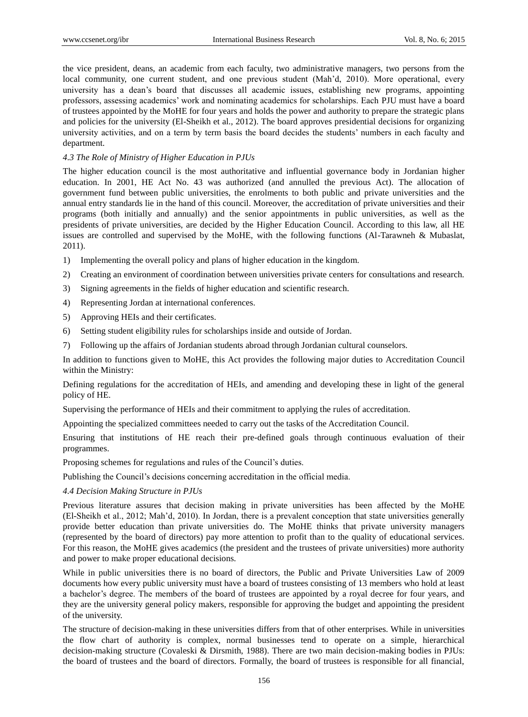the vice president, deans, an academic from each faculty, two administrative managers, two persons from the local community, one current student, and one previous student (Mah'd, 2010). More operational, every university has a dean's board that discusses all academic issues, establishing new programs, appointing professors, assessing academics' work and nominating academics for scholarships. Each PJU must have a board of trustees appointed by the MoHE for four years and holds the power and authority to prepare the strategic plans and policies for the university (El-Sheikh et al., 2012). The board approves presidential decisions for organizing university activities, and on a term by term basis the board decides the students' numbers in each faculty and department.

# *4.3 The Role of Ministry of Higher Education in PJUs*

The higher education council is the most authoritative and influential governance body in Jordanian higher education. In 2001, HE Act No. 43 was authorized (and annulled the previous Act). The allocation of government fund between public universities, the enrolments to both public and private universities and the annual entry standards lie in the hand of this council. Moreover, the accreditation of private universities and their programs (both initially and annually) and the senior appointments in public universities, as well as the presidents of private universities, are decided by the Higher Education Council. According to this law, all HE issues are controlled and supervised by the MoHE, with the following functions (Al-Tarawneh & Mubaslat, 2011).

- 1) Implementing the overall policy and plans of higher education in the kingdom.
- 2) Creating an environment of coordination between universities private centers for consultations and research.
- 3) Signing agreements in the fields of higher education and scientific research.
- 4) Representing Jordan at international conferences.
- 5) Approving HEIs and their certificates.
- 6) Setting student eligibility rules for scholarships inside and outside of Jordan.
- 7) Following up the affairs of Jordanian students abroad through Jordanian cultural counselors.

In addition to functions given to MoHE, this Act provides the following major duties to Accreditation Council within the Ministry:

Defining regulations for the accreditation of HEIs, and amending and developing these in light of the general policy of HE.

Supervising the performance of HEIs and their commitment to applying the rules of accreditation.

Appointing the specialized committees needed to carry out the tasks of the Accreditation Council.

Ensuring that institutions of HE reach their pre-defined goals through continuous evaluation of their programmes.

Proposing schemes for regulations and rules of the Council's duties.

Publishing the Council's decisions concerning accreditation in the official media.

## *4.4 Decision Making Structure in PJUs*

Previous literature assures that decision making in private universities has been affected by the MoHE (El-Sheikh et al., 2012; Mah'd, 2010). In Jordan, there is a prevalent conception that state universities generally provide better education than private universities do. The MoHE thinks that private university managers (represented by the board of directors) pay more attention to profit than to the quality of educational services. For this reason, the MoHE gives academics (the president and the trustees of private universities) more authority and power to make proper educational decisions.

While in public universities there is no board of directors, the Public and Private Universities Law of 2009 documents how every public university must have a board of trustees consisting of 13 members who hold at least a bachelor's degree. The members of the board of trustees are appointed by a royal decree for four years, and they are the university general policy makers, responsible for approving the budget and appointing the president of the university.

The structure of decision-making in these universities differs from that of other enterprises. While in universities the flow chart of authority is complex, normal businesses tend to operate on a simple, hierarchical decision-making structure (Covaleski & Dirsmith, 1988). There are two main decision-making bodies in PJUs: the board of trustees and the board of directors. Formally, the board of trustees is responsible for all financial,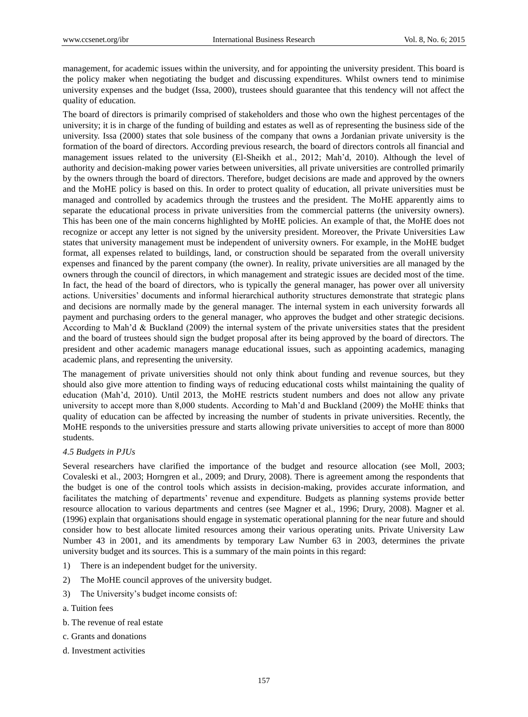management, for academic issues within the university, and for appointing the university president. This board is the policy maker when negotiating the budget and discussing expenditures. Whilst owners tend to minimise university expenses and the budget (Issa, 2000), trustees should guarantee that this tendency will not affect the quality of education.

The board of directors is primarily comprised of stakeholders and those who own the highest percentages of the university; it is in charge of the funding of building and estates as well as of representing the business side of the university. Issa (2000) states that sole business of the company that owns a Jordanian private university is the formation of the board of directors. According previous research, the board of directors controls all financial and management issues related to the university (El-Sheikh et al., 2012; Mah'd, 2010). Although the level of authority and decision-making power varies between universities, all private universities are controlled primarily by the owners through the board of directors. Therefore, budget decisions are made and approved by the owners and the MoHE policy is based on this. In order to protect quality of education, all private universities must be managed and controlled by academics through the trustees and the president. The MoHE apparently aims to separate the educational process in private universities from the commercial patterns (the university owners). This has been one of the main concerns highlighted by MoHE policies. An example of that, the MoHE does not recognize or accept any letter is not signed by the university president. Moreover, the Private Universities Law states that university management must be independent of university owners. For example, in the MoHE budget format, all expenses related to buildings, land, or construction should be separated from the overall university expenses and financed by the parent company (the owner). In reality, private universities are all managed by the owners through the council of directors, in which management and strategic issues are decided most of the time. In fact, the head of the board of directors, who is typically the general manager, has power over all university actions. Universities' documents and informal hierarchical authority structures demonstrate that strategic plans and decisions are normally made by the general manager. The internal system in each university forwards all payment and purchasing orders to the general manager, who approves the budget and other strategic decisions. According to Mah'd & Buckland (2009) the internal system of the private universities states that the president and the board of trustees should sign the budget proposal after its being approved by the board of directors. The president and other academic managers manage educational issues, such as appointing academics, managing academic plans, and representing the university.

The management of private universities should not only think about funding and revenue sources, but they should also give more attention to finding ways of reducing educational costs whilst maintaining the quality of education (Mah'd, 2010). Until 2013, the MoHE restricts student numbers and does not allow any private university to accept more than 8,000 students. According to Mah'd and Buckland (2009) the MoHE thinks that quality of education can be affected by increasing the number of students in private universities. Recently, the MoHE responds to the universities pressure and starts allowing private universities to accept of more than 8000 students.

#### *4.5 Budgets in PJUs*

Several researchers have clarified the importance of the budget and resource allocation (see Moll, 2003; Covaleski et al., 2003; Horngren et al., 2009; and Drury, 2008). There is agreement among the respondents that the budget is one of the control tools which assists in decision-making, provides accurate information, and facilitates the matching of departments' revenue and expenditure. Budgets as planning systems provide better resource allocation to various departments and centres (see Magner et al., 1996; Drury, 2008). Magner et al. (1996) explain that organisations should engage in systematic operational planning for the near future and should consider how to best allocate limited resources among their various operating units. Private University Law Number 43 in 2001, and its amendments by temporary Law Number 63 in 2003, determines the private university budget and its sources. This is a summary of the main points in this regard:

- 1) There is an independent budget for the university.
- 2) The MoHE council approves of the university budget.
- 3) The University's budget income consists of:
- a. Tuition fees
- b. The revenue of real estate
- c. Grants and donations
- d. Investment activities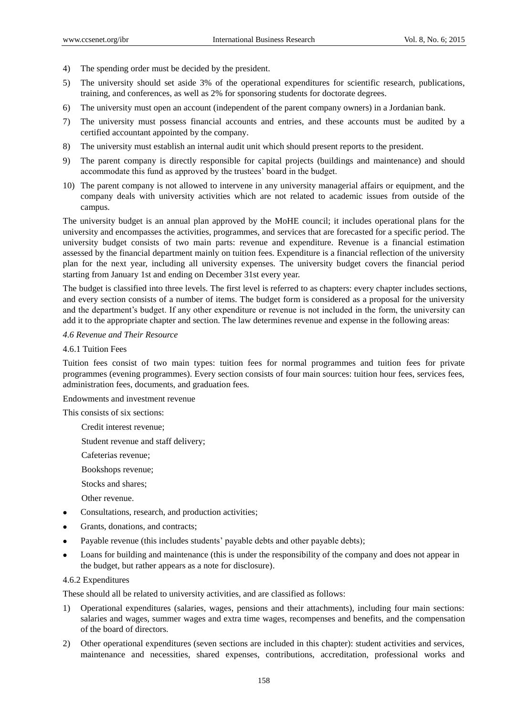- 4) The spending order must be decided by the president.
- 5) The university should set aside 3% of the operational expenditures for scientific research, publications, training, and conferences, as well as 2% for sponsoring students for doctorate degrees.
- 6) The university must open an account (independent of the parent company owners) in a Jordanian bank.
- 7) The university must possess financial accounts and entries, and these accounts must be audited by a certified accountant appointed by the company.
- 8) The university must establish an internal audit unit which should present reports to the president.
- 9) The parent company is directly responsible for capital projects (buildings and maintenance) and should accommodate this fund as approved by the trustees' board in the budget.
- 10) The parent company is not allowed to intervene in any university managerial affairs or equipment, and the company deals with university activities which are not related to academic issues from outside of the campus.

The university budget is an annual plan approved by the MoHE council; it includes operational plans for the university and encompasses the activities, programmes, and services that are forecasted for a specific period. The university budget consists of two main parts: revenue and expenditure. Revenue is a financial estimation assessed by the financial department mainly on tuition fees. Expenditure is a financial reflection of the university plan for the next year, including all university expenses. The university budget covers the financial period starting from January 1st and ending on December 31st every year.

The budget is classified into three levels. The first level is referred to as chapters: every chapter includes sections, and every section consists of a number of items. The budget form is considered as a proposal for the university and the department's budget. If any other expenditure or revenue is not included in the form, the university can add it to the appropriate chapter and section. The law determines revenue and expense in the following areas:

# *4.6 Revenue and Their Resource*

#### 4.6.1 Tuition Fees

Tuition fees consist of two main types: tuition fees for normal programmes and tuition fees for private programmes (evening programmes). Every section consists of four main sources: tuition hour fees, services fees, administration fees, documents, and graduation fees.

Endowments and investment revenue

This consists of six sections:

Credit interest revenue;

Student revenue and staff delivery;

- Cafeterias revenue;
- Bookshops revenue;
- Stocks and shares;
- Other revenue.
- Consultations, research, and production activities;
- Grants, donations, and contracts;
- Payable revenue (this includes students' payable debts and other payable debts);
- Loans for building and maintenance (this is under the responsibility of the company and does not appear in the budget, but rather appears as a note for disclosure).

#### 4.6.2 Expenditures

These should all be related to university activities, and are classified as follows:

- 1) Operational expenditures (salaries, wages, pensions and their attachments), including four main sections: salaries and wages, summer wages and extra time wages, recompenses and benefits, and the compensation of the board of directors.
- 2) Other operational expenditures (seven sections are included in this chapter): student activities and services, maintenance and necessities, shared expenses, contributions, accreditation, professional works and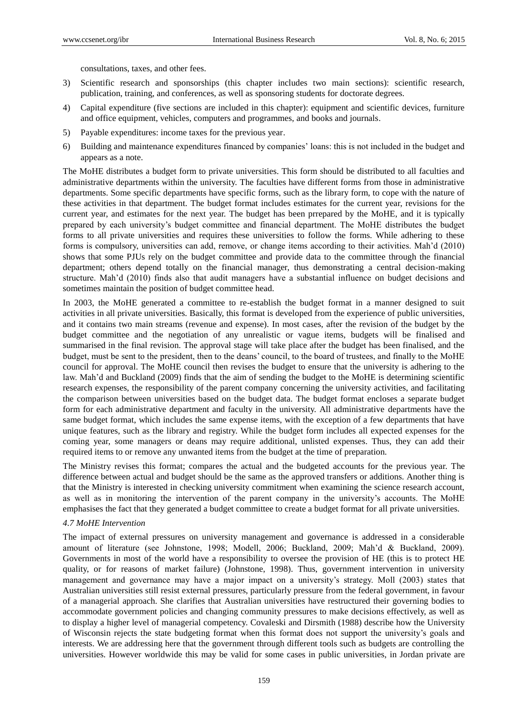consultations, taxes, and other fees.

- 3) Scientific research and sponsorships (this chapter includes two main sections): scientific research, publication, training, and conferences, as well as sponsoring students for doctorate degrees.
- 4) Capital expenditure (five sections are included in this chapter): equipment and scientific devices, furniture and office equipment, vehicles, computers and programmes, and books and journals.
- 5) Payable expenditures: income taxes for the previous year.
- 6) Building and maintenance expenditures financed by companies' loans: this is not included in the budget and appears as a note.

The MoHE distributes a budget form to private universities. This form should be distributed to all faculties and administrative departments within the university. The faculties have different forms from those in administrative departments. Some specific departments have specific forms, such as the library form, to cope with the nature of these activities in that department. The budget format includes estimates for the current year, revisions for the current year, and estimates for the next year. The budget has been prrepared by the MoHE, and it is typically prepared by each university's budget committee and financial department. The MoHE distributes the budget forms to all private universities and requires these universities to follow the forms. While adhering to these forms is compulsory, universities can add, remove, or change items according to their activities. Mah'd (2010) shows that some PJUs rely on the budget committee and provide data to the committee through the financial department; others depend totally on the financial manager, thus demonstrating a central decision-making structure. Mah'd (2010) finds also that audit managers have a substantial influence on budget decisions and sometimes maintain the position of budget committee head.

In 2003, the MoHE generated a committee to re-establish the budget format in a manner designed to suit activities in all private universities. Basically, this format is developed from the experience of public universities, and it contains two main streams (revenue and expense). In most cases, after the revision of the budget by the budget committee and the negotiation of any unrealistic or vague items, budgets will be finalised and summarised in the final revision. The approval stage will take place after the budget has been finalised, and the budget, must be sent to the president, then to the deans' council, to the board of trustees, and finally to the MoHE council for approval. The MoHE council then revises the budget to ensure that the university is adhering to the law. Mah'd and Buckland (2009) finds that the aim of sending the budget to the MoHE is determining scientific research expenses, the responsibility of the parent company concerning the university activities, and facilitating the comparison between universities based on the budget data. The budget format encloses a separate budget form for each administrative department and faculty in the university. All administrative departments have the same budget format, which includes the same expense items, with the exception of a few departments that have unique features, such as the library and registry. While the budget form includes all expected expenses for the coming year, some managers or deans may require additional, unlisted expenses. Thus, they can add their required items to or remove any unwanted items from the budget at the time of preparation.

The Ministry revises this format; compares the actual and the budgeted accounts for the previous year. The difference between actual and budget should be the same as the approved transfers or additions. Another thing is that the Ministry is interested in checking university commitment when examining the science research account, as well as in monitoring the intervention of the parent company in the university's accounts. The MoHE emphasises the fact that they generated a budget committee to create a budget format for all private universities.

#### *4.7 MoHE Intervention*

The impact of external pressures on university management and governance is addressed in a considerable amount of literature (see Johnstone, 1998; Modell, 2006; Buckland, 2009; Mah'd & Buckland, 2009). Governments in most of the world have a responsibility to oversee the provision of HE (this is to protect HE quality, or for reasons of market failure) (Johnstone, 1998). Thus, government intervention in university management and governance may have a major impact on a university's strategy. Moll (2003) states that Australian universities still resist external pressures, particularly pressure from the federal government, in favour of a managerial approach. She clarifies that Australian universities have restructured their governing bodies to accommodate government policies and changing community pressures to make decisions effectively, as well as to display a higher level of managerial competency. Covaleski and Dirsmith (1988) describe how the University of Wisconsin rejects the state budgeting format when this format does not support the university's goals and interests. We are addressing here that the government through different tools such as budgets are controlling the universities. However worldwide this may be valid for some cases in public universities, in Jordan private are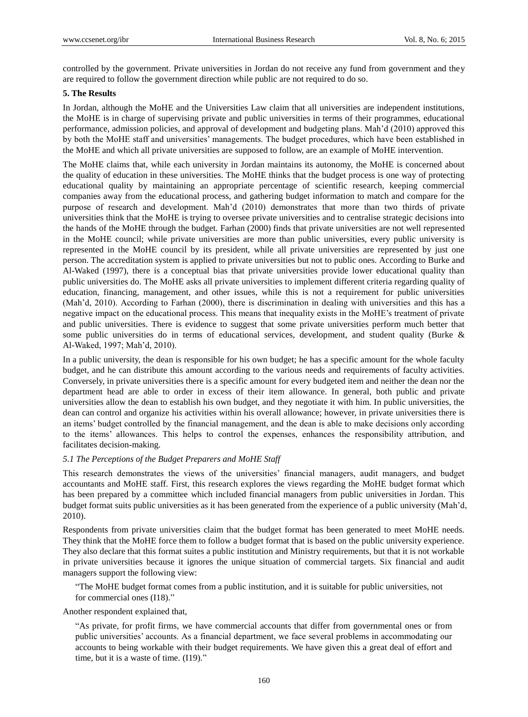controlled by the government. Private universities in Jordan do not receive any fund from government and they are required to follow the government direction while public are not required to do so.

#### **5. The Results**

In Jordan, although the MoHE and the Universities Law claim that all universities are independent institutions, the MoHE is in charge of supervising private and public universities in terms of their programmes, educational performance, admission policies, and approval of development and budgeting plans. Mah'd (2010) approved this by both the MoHE staff and universities' managements. The budget procedures, which have been established in the MoHE and which all private universities are supposed to follow, are an example of MoHE intervention.

The MoHE claims that, while each university in Jordan maintains its autonomy, the MoHE is concerned about the quality of education in these universities. The MoHE thinks that the budget process is one way of protecting educational quality by maintaining an appropriate percentage of scientific research, keeping commercial companies away from the educational process, and gathering budget information to match and compare for the purpose of research and development. Mah'd (2010) demonstrates that more than two thirds of private universities think that the MoHE is trying to oversee private universities and to centralise strategic decisions into the hands of the MoHE through the budget. Farhan (2000) finds that private universities are not well represented in the MoHE council; while private universities are more than public universities, every public university is represented in the MoHE council by its president, while all private universities are represented by just one person. The accreditation system is applied to private universities but not to public ones. According to Burke and Al-Waked (1997), there is a conceptual bias that private universities provide lower educational quality than public universities do. The MoHE asks all private universities to implement different criteria regarding quality of education, financing, management, and other issues, while this is not a requirement for public universities (Mah'd, 2010). According to Farhan (2000), there is discrimination in dealing with universities and this has a negative impact on the educational process. This means that inequality exists in the MoHE's treatment of private and public universities. There is evidence to suggest that some private universities perform much better that some public universities do in terms of educational services, development, and student quality (Burke & Al-Waked, 1997; Mah'd, 2010).

In a public university, the dean is responsible for his own budget; he has a specific amount for the whole faculty budget, and he can distribute this amount according to the various needs and requirements of faculty activities. Conversely, in private universities there is a specific amount for every budgeted item and neither the dean nor the department head are able to order in excess of their item allowance. In general, both public and private universities allow the dean to establish his own budget, and they negotiate it with him. In public universities, the dean can control and organize his activities within his overall allowance; however, in private universities there is an items' budget controlled by the financial management, and the dean is able to make decisions only according to the items' allowances. This helps to control the expenses, enhances the responsibility attribution, and facilitates decision-making.

#### *5.1 The Perceptions of the Budget Preparers and MoHE Staff*

This research demonstrates the views of the universities' financial managers, audit managers, and budget accountants and MoHE staff. First, this research explores the views regarding the MoHE budget format which has been prepared by a committee which included financial managers from public universities in Jordan. This budget format suits public universities as it has been generated from the experience of a public university (Mah'd, 2010).

Respondents from private universities claim that the budget format has been generated to meet MoHE needs. They think that the MoHE force them to follow a budget format that is based on the public university experience. They also declare that this format suites a public institution and Ministry requirements, but that it is not workable in private universities because it ignores the unique situation of commercial targets. Six financial and audit managers support the following view:

"The MoHE budget format comes from a public institution, and it is suitable for public universities, not for commercial ones (I18)."

Another respondent explained that,

"As private, for profit firms, we have commercial accounts that differ from governmental ones or from public universities' accounts. As a financial department, we face several problems in accommodating our accounts to being workable with their budget requirements. We have given this a great deal of effort and time, but it is a waste of time. (I19)."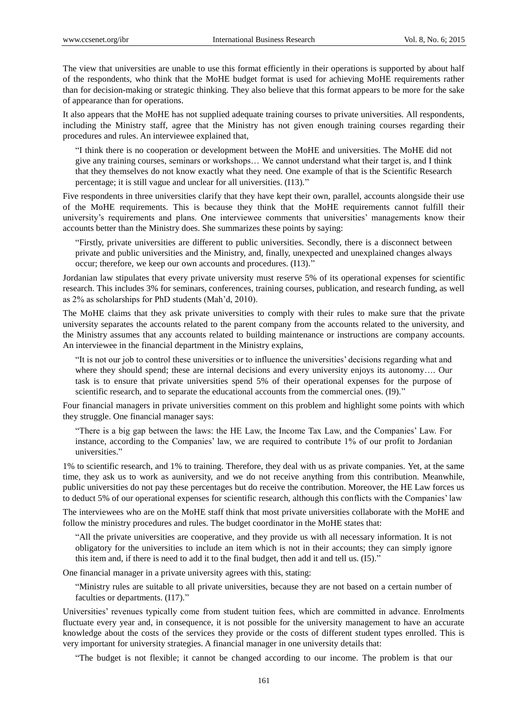The view that universities are unable to use this format efficiently in their operations is supported by about half of the respondents, who think that the MoHE budget format is used for achieving MoHE requirements rather than for decision-making or strategic thinking. They also believe that this format appears to be more for the sake of appearance than for operations.

It also appears that the MoHE has not supplied adequate training courses to private universities. All respondents, including the Ministry staff, agree that the Ministry has not given enough training courses regarding their procedures and rules. An interviewee explained that,

"I think there is no cooperation or development between the MoHE and universities. The MoHE did not give any training courses, seminars or workshops… We cannot understand what their target is, and I think that they themselves do not know exactly what they need. One example of that is the Scientific Research percentage; it is still vague and unclear for all universities. (I13)."

Five respondents in three universities clarify that they have kept their own, parallel, accounts alongside their use of the MoHE requirements. This is because they think that the MoHE requirements cannot fulfill their university's requirements and plans. One interviewee comments that universities' managements know their accounts better than the Ministry does. She summarizes these points by saying:

"Firstly, private universities are different to public universities. Secondly, there is a disconnect between private and public universities and the Ministry, and, finally, unexpected and unexplained changes always occur; therefore, we keep our own accounts and procedures. (I13)."

Jordanian law stipulates that every private university must reserve 5% of its operational expenses for scientific research. This includes 3% for seminars, conferences, training courses, publication, and research funding, as well as 2% as scholarships for PhD students (Mah'd, 2010).

The MoHE claims that they ask private universities to comply with their rules to make sure that the private university separates the accounts related to the parent company from the accounts related to the university, and the Ministry assumes that any accounts related to building maintenance or instructions are company accounts. An interviewee in the financial department in the Ministry explains,

"It is not our job to control these universities or to influence the universities' decisions regarding what and where they should spend; these are internal decisions and every university enjoys its autonomy…. Our task is to ensure that private universities spend 5% of their operational expenses for the purpose of scientific research, and to separate the educational accounts from the commercial ones. (I9)."

Four financial managers in private universities comment on this problem and highlight some points with which they struggle. One financial manager says:

"There is a big gap between the laws: the HE Law, the Income Tax Law, and the Companies' Law. For instance, according to the Companies' law, we are required to contribute 1% of our profit to Jordanian universities."

1% to scientific research, and 1% to training. Therefore, they deal with us as private companies. Yet, at the same time, they ask us to work as auniversity, and we do not receive anything from this contribution. Meanwhile, public universities do not pay these percentages but do receive the contribution. Moreover, the HE Law forces us to deduct 5% of our operational expenses for scientific research, although this conflicts with the Companies' law

The interviewees who are on the MoHE staff think that most private universities collaborate with the MoHE and follow the ministry procedures and rules. The budget coordinator in the MoHE states that:

"All the private universities are cooperative, and they provide us with all necessary information. It is not obligatory for the universities to include an item which is not in their accounts; they can simply ignore this item and, if there is need to add it to the final budget, then add it and tell us. (I5)."

One financial manager in a private university agrees with this, stating:

"Ministry rules are suitable to all private universities, because they are not based on a certain number of faculties or departments. (I17)."

Universities' revenues typically come from student tuition fees, which are committed in advance. Enrolments fluctuate every year and, in consequence, it is not possible for the university management to have an accurate knowledge about the costs of the services they provide or the costs of different student types enrolled. This is very important for university strategies. A financial manager in one university details that:

"The budget is not flexible; it cannot be changed according to our income. The problem is that our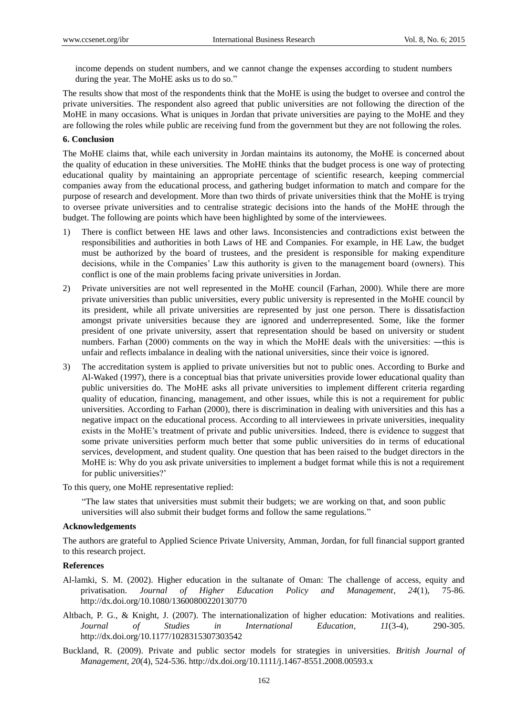income depends on student numbers, and we cannot change the expenses according to student numbers during the year. The MoHE asks us to do so."

The results show that most of the respondents think that the MoHE is using the budget to oversee and control the private universities. The respondent also agreed that public universities are not following the direction of the MoHE in many occasions. What is uniques in Jordan that private universities are paying to the MoHE and they are following the roles while public are receiving fund from the government but they are not following the roles.

# **6. Conclusion**

The MoHE claims that, while each university in Jordan maintains its autonomy, the MoHE is concerned about the quality of education in these universities. The MoHE thinks that the budget process is one way of protecting educational quality by maintaining an appropriate percentage of scientific research, keeping commercial companies away from the educational process, and gathering budget information to match and compare for the purpose of research and development. More than two thirds of private universities think that the MoHE is trying to oversee private universities and to centralise strategic decisions into the hands of the MoHE through the budget. The following are points which have been highlighted by some of the interviewees.

- 1) There is conflict between HE laws and other laws. Inconsistencies and contradictions exist between the responsibilities and authorities in both Laws of HE and Companies. For example, in HE Law, the budget must be authorized by the board of trustees, and the president is responsible for making expenditure decisions, while in the Companies' Law this authority is given to the management board (owners). This conflict is one of the main problems facing private universities in Jordan.
- 2) Private universities are not well represented in the MoHE council (Farhan, 2000). While there are more private universities than public universities, every public university is represented in the MoHE council by its president, while all private universities are represented by just one person. There is dissatisfaction amongst private universities because they are ignored and underrepresented. Some, like the former president of one private university, assert that representation should be based on university or student numbers. Farhan (2000) comments on the way in which the MoHE deals with the universities: ―this is unfair and reflects imbalance in dealing with the national universities, since their voice is ignored.
- 3) The accreditation system is applied to private universities but not to public ones. According to Burke and Al-Waked (1997), there is a conceptual bias that private universities provide lower educational quality than public universities do. The MoHE asks all private universities to implement different criteria regarding quality of education, financing, management, and other issues, while this is not a requirement for public universities. According to Farhan (2000), there is discrimination in dealing with universities and this has a negative impact on the educational process. According to all interviewees in private universities, inequality exists in the MoHE's treatment of private and public universities. Indeed, there is evidence to suggest that some private universities perform much better that some public universities do in terms of educational services, development, and student quality. One question that has been raised to the budget directors in the MoHE is: Why do you ask private universities to implement a budget format while this is not a requirement for public universities?'

To this query, one MoHE representative replied:

"The law states that universities must submit their budgets; we are working on that, and soon public universities will also submit their budget forms and follow the same regulations."

#### **Acknowledgements**

The authors are grateful to Applied Science Private University, Amman, Jordan, for full financial support granted to this research project.

#### **References**

- Al-lamki, S. M. (2002). Higher education in the sultanate of Oman: The challenge of access, equity and privatisation. *Journal of Higher Education Policy and Management, 24*(1), 75-86. http://dx.doi.org/10.1080/13600800220130770
- Altbach, P. G., & Knight, J. (2007). The internationalization of higher education: Motivations and realities. *Journal of Studies in International Education, 11*(3-4), 290-305. http://dx.doi.org/10.1177/1028315307303542
- Buckland, R. (2009). Private and public sector models for strategies in universities. *British Journal of Management, 20*(4), 524-536. http://dx.doi.org/10.1111/j.1467-8551.2008.00593.x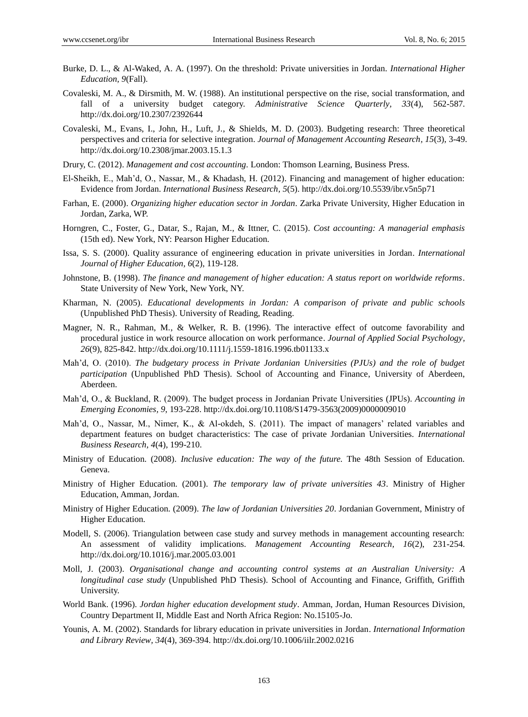- Burke, D. L., & Al-Waked, A. A. (1997). On the threshold: Private universities in Jordan. *International Higher Education, 9*(Fall).
- Covaleski, M. A., & Dirsmith, M. W. (1988). An institutional perspective on the rise, social transformation, and fall of a university budget category. *Administrative Science Quarterly, 33*(4), 562-587. http://dx.doi.org/10.2307/2392644
- Covaleski, M., Evans, I., John, H., Luft, J., & Shields, M. D. (2003). Budgeting research: Three theoretical perspectives and criteria for selective integration. *Journal of Management Accounting Research, 15*(3), 3-49. http://dx.doi.org/10.2308/jmar.2003.15.1.3
- Drury, C. (2012). *Management and cost accounting.* London: Thomson Learning, Business Press.
- El-Sheikh, E., Mah'd, O., Nassar, M., & Khadash, H. (2012). Financing and management of higher education: Evidence from Jordan. *International Business Research, 5*(5). http://dx.doi.org/10.5539/ibr.v5n5p71
- Farhan, E. (2000). *Organizing higher education sector in Jordan*. Zarka Private University, Higher Education in Jordan, Zarka, WP.
- Horngren, C., Foster, G., Datar, S., Rajan, M., & Ittner, C. (2015). *Cost accounting: A managerial emphasis* (15th ed). New York, NY: Pearson Higher Education.
- Issa, S. S. (2000). Quality assurance of engineering education in private universities in Jordan. *International Journal of Higher Education, 6*(2), 119-128.
- Johnstone, B. (1998). *The finance and management of higher education: A status report on worldwide reforms*. State University of New York, New York, NY.
- Kharman, N. (2005). *Educational developments in Jordan: A comparison of private and public schools* (Unpublished PhD Thesis). University of Reading, Reading.
- Magner, N. R., Rahman, M., & Welker, R. B. (1996). The interactive effect of outcome favorability and procedural justice in work resource allocation on work performance. *Journal of Applied Social Psychology, 26*(9), 825-842. http://dx.doi.org/10.1111/j.1559-1816.1996.tb01133.x
- Mah'd, O. (2010). *The budgetary process in Private Jordanian Universities (PJUs) and the role of budget participation* (Unpublished PhD Thesis). School of Accounting and Finance, University of Aberdeen, Aberdeen.
- Mah'd, O., & Buckland, R. (2009). The budget process in Jordanian Private Universities (JPUs). *Accounting in Emerging Economies, 9*, 193-228. http://dx.doi.org/10.1108/S1479-3563(2009)0000009010
- Mah'd, O., Nassar, M., Nimer, K., & Al-okdeh, S. (2011). The impact of managers' related variables and department features on budget characteristics: The case of private Jordanian Universities. *International Business Research, 4*(4), 199-210.
- Ministry of Education. (2008). *Inclusive education: The way of the future.* The 48th Session of Education. Geneva.
- Ministry of Higher Education. (2001). *The temporary law of private universities 43*. Ministry of Higher Education, Amman, Jordan.
- Ministry of Higher Education. (2009). *The law of Jordanian Universities 20*. Jordanian Government, Ministry of Higher Education.
- Modell, S. (2006). Triangulation between case study and survey methods in management accounting research: An assessment of validity implications. *Management Accounting Research, 16*(2), 231-254. http://dx.doi.org/10.1016/j.mar.2005.03.001
- Moll, J. (2003). *Organisational change and accounting control systems at an Australian University: A longitudinal case study* (Unpublished PhD Thesis). School of Accounting and Finance, Griffith, Griffith University.
- World Bank. (1996). *Jordan higher education development study*. Amman, Jordan, Human Resources Division, Country Department II, Middle East and North Africa Region: No.15105-Jo.
- Younis, A. M. (2002). Standards for library education in private universities in Jordan. *International Information and Library Review, 34*(4), 369-394. http://dx.doi.org/10.1006/iilr.2002.0216